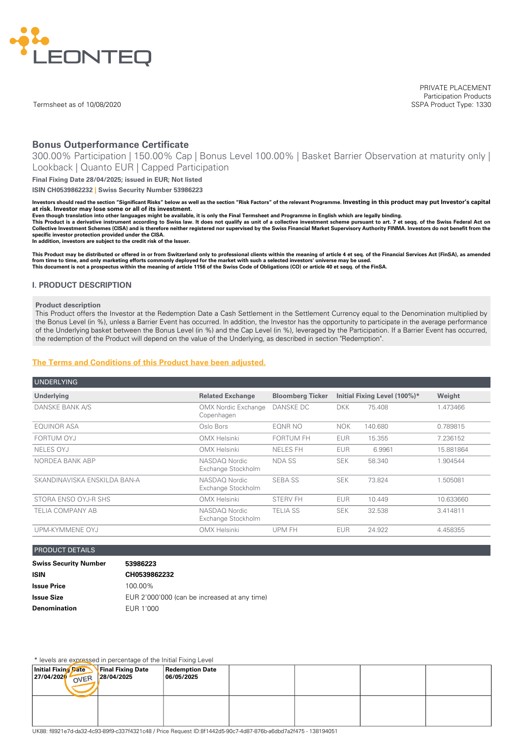

Termsheet as of 10/08/2020

PRIVATE PLACEMENT Participation Products SSPA Product Type: 1330

# **Bonus Outperformance Certificate**

300.00% Participation | 150.00% Cap | Bonus Level 100.00% | Basket Barrier Observation at maturity only | Lookback | Quanto EUR | Capped Participation

**Final Fixing Date 28/04/2025; issued in EUR; Not listed**

**ISIN CH0539862232 | Swiss Security Number 53986223**

Investors should read the section "Significant Risks" below as well as the section "Risk Factors" of the relevant Programme. Investing in this product may put Investor's capital **at risk. Investor may lose some or all of its investment.**

Even though translation into other languages might be available, it is only the Final Termsheet and Programme in English which are legally binding.

This Product is a derivative instrument according to Swiss law. It does not qualify as unit of a collective investment scheme pursuant to art. 7 et seqq. of the Swiss Federal Act on<br>Collective Investment Schemes (CISA) and **specific investor protection provided under the CISA.**

**In addition, investors are subject to the credit risk of the Issuer.**

This Product may be distributed or offered in or from Switzerland only to professional clients within the meaning of article 4 et seq. of the Financial Services Act (FinSA), as amended from time to time, and only marketing efforts commonly deployed for the market with such a selected investors' universe may be used.<br>This document is not a prospectus within the meaning of article 1156 of the Swiss Code of

#### **I. PRODUCT DESCRIPTION**

#### **Product description**

This Product offers the Investor at the Redemption Date a Cash Settlement in the Settlement Currency equal to the Denomination multiplied by the Bonus Level (in %), unless a Barrier Event has occurred. In addition, the Investor has the opportunity to participate in the average performance of the Underlying basket between the Bonus Level (in %) and the Cap Level (in %), leveraged by the Participation. If a Barrier Event has occurred, the redemption of the Product will depend on the value of the Underlying, as described in section "Redemption".

### **The Terms and [Conditions](#page-4-0) of this Product have been adjusted.**

| <b>UNDERLYING</b>            |                                          |                         |                              |         |           |
|------------------------------|------------------------------------------|-------------------------|------------------------------|---------|-----------|
| Underlying                   | <b>Related Exchange</b>                  | <b>Bloomberg Ticker</b> | Initial Fixing Level (100%)* |         | Weight    |
| DANSKE BANK A/S              | <b>OMX Nordic Exchange</b><br>Copenhagen | <b>DANSKE DC</b>        | <b>DKK</b>                   | 75.408  | 1.473466  |
| <b>EQUINOR ASA</b>           | Oslo Bors                                | EONR NO                 | <b>NOK</b>                   | 140.680 | 0.789815  |
| FORTUM OYJ                   | OMX Helsinki                             | <b>FORTUM FH</b>        | <b>EUR</b>                   | 15.355  | 7.236152  |
| NELES OYJ                    | <b>OMX Helsinki</b>                      | <b>NELES FH</b>         | <b>EUR</b>                   | 6.9961  | 15.881864 |
| NORDEA BANK ABP              | NASDAO Nordic<br>Exchange Stockholm      | NDA SS                  | <b>SEK</b>                   | 58.340  | 1.904544  |
| SKANDINAVISKA ENSKILDA BAN-A | NASDAO Nordic<br>Exchange Stockholm      | <b>SEBA SS</b>          | <b>SEK</b>                   | 73.824  | 1.505081  |
| STORA ENSO OYJ-R SHS         | <b>OMX Helsinki</b>                      | <b>STERV FH</b>         | <b>EUR</b>                   | 10.449  | 10.633660 |
| <b>TELIA COMPANY AB</b>      | NASDAO Nordic<br>Exchange Stockholm      | <b>TELIA SS</b>         | <b>SEK</b>                   | 32.538  | 3.414811  |
| UPM-KYMMENE OYJ              | <b>OMX Helsinki</b>                      | UPM FH                  | <b>EUR</b>                   | 24.922  | 4.458355  |

#### PRODUCT DETAILS

| <b>Swiss Security Number</b> | 53986223                                     |
|------------------------------|----------------------------------------------|
| ISIN                         | CH0539862232                                 |
| <b>Issue Price</b>           | 100.00%                                      |
| Issue Size                   | EUR 2'000'000 (can be increased at any time) |
| <b>Denomination</b>          | EUR 1'000                                    |

\* levels are expressed in percentage of the Initial Fixing Level

|                                                                                                                | .                               |                                      |  |  |  |
|----------------------------------------------------------------------------------------------------------------|---------------------------------|--------------------------------------|--|--|--|
| Initial Fixing Date<br>27/04/2020<br>OVER                                                                      | Final Fixing Date<br>28/04/2025 | <b>Redemption Date</b><br>06/05/2025 |  |  |  |
|                                                                                                                |                                 |                                      |  |  |  |
| UK88: f8921e7d-da32-4c93-89f9-c337f4321c48 / Price Request ID:8f1442d5-90c7-4d87-876b-a6dbd7a2f475 - 138194051 |                                 |                                      |  |  |  |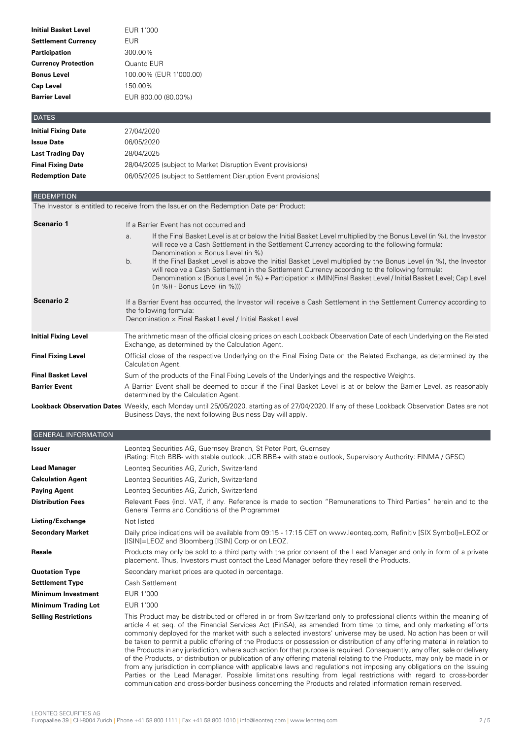| EUR 1'000              |
|------------------------|
| EUR                    |
| 300.00%                |
| Quanto EUR             |
| 100.00% (EUR 1'000.00) |
| 150.00%                |
| EUR 800.00 (80.00%)    |
|                        |

| <b>DATES</b>               |                                                                |
|----------------------------|----------------------------------------------------------------|
| <b>Initial Fixing Date</b> | 27/04/2020                                                     |
| <b>Issue Date</b>          | 06/05/2020                                                     |
| <b>Last Trading Day</b>    | 28/04/2025                                                     |
| <b>Final Fixing Date</b>   | 28/04/2025 (subject to Market Disruption Event provisions)     |
| <b>Redemption Date</b>     | 06/05/2025 (subject to Settlement Disruption Event provisions) |
|                            |                                                                |

# REDEMPTION

The Investor is entitled to receive from the Issuer on the Redemption Date per Product:

| <b>Scenario 1</b>           | If a Barrier Event has not occurred and                                                                                                                                                                                                                                                                                                                                                                                                                                                                                                                                                                                                                |  |  |  |
|-----------------------------|--------------------------------------------------------------------------------------------------------------------------------------------------------------------------------------------------------------------------------------------------------------------------------------------------------------------------------------------------------------------------------------------------------------------------------------------------------------------------------------------------------------------------------------------------------------------------------------------------------------------------------------------------------|--|--|--|
|                             | If the Final Basket Level is at or below the Initial Basket Level multiplied by the Bonus Level (in %), the Investor<br>a.<br>will receive a Cash Settlement in the Settlement Currency according to the following formula:<br>Denomination $\times$ Bonus Level (in %)<br>If the Final Basket Level is above the Initial Basket Level multiplied by the Bonus Level (in %), the Investor<br>b.<br>will receive a Cash Settlement in the Settlement Currency according to the following formula:<br>Denomination x (Bonus Level (in %) + Participation x (MIN(Final Basket Level / Initial Basket Level; Cap Level<br>$(in %)$ - Bonus Level $(in %))$ |  |  |  |
| <b>Scenario 2</b>           | If a Barrier Event has occurred, the Investor will receive a Cash Settlement in the Settlement Currency according to<br>the following formula:<br>Denomination x Final Basket Level / Initial Basket Level                                                                                                                                                                                                                                                                                                                                                                                                                                             |  |  |  |
| <b>Initial Fixing Level</b> | The arithmetic mean of the official closing prices on each Lookback Observation Date of each Underlying on the Related<br>Exchange, as determined by the Calculation Agent.                                                                                                                                                                                                                                                                                                                                                                                                                                                                            |  |  |  |
| <b>Final Fixing Level</b>   | Official close of the respective Underlying on the Final Fixing Date on the Related Exchange, as determined by the<br>Calculation Agent.                                                                                                                                                                                                                                                                                                                                                                                                                                                                                                               |  |  |  |
| <b>Final Basket Level</b>   | Sum of the products of the Final Fixing Levels of the Underlyings and the respective Weights.                                                                                                                                                                                                                                                                                                                                                                                                                                                                                                                                                          |  |  |  |
| <b>Barrier Event</b>        | A Barrier Event shall be deemed to occur if the Final Basket Level is at or below the Barrier Level, as reasonably<br>determined by the Calculation Agent.                                                                                                                                                                                                                                                                                                                                                                                                                                                                                             |  |  |  |
|                             | Lookback Observation Dates Weekly, each Monday until 25/05/2020, starting as of 27/04/2020. If any of these Lookback Observation Dates are not<br>Business Days, the next following Business Day will apply.                                                                                                                                                                                                                                                                                                                                                                                                                                           |  |  |  |

# GENERAL INFORMATION

| <b>Issuer</b>               | Leonteg Securities AG, Guernsey Branch, St Peter Port, Guernsey<br>(Rating: Fitch BBB- with stable outlook, JCR BBB+ with stable outlook, Supervisory Authority: FINMA / GFSC)                                                                                                                                                                                                                                                                                                                                                                                                                                                                                                                                                                                                                                                                                                   |
|-----------------------------|----------------------------------------------------------------------------------------------------------------------------------------------------------------------------------------------------------------------------------------------------------------------------------------------------------------------------------------------------------------------------------------------------------------------------------------------------------------------------------------------------------------------------------------------------------------------------------------------------------------------------------------------------------------------------------------------------------------------------------------------------------------------------------------------------------------------------------------------------------------------------------|
| <b>Lead Manager</b>         | Leonteg Securities AG, Zurich, Switzerland                                                                                                                                                                                                                                                                                                                                                                                                                                                                                                                                                                                                                                                                                                                                                                                                                                       |
| <b>Calculation Agent</b>    | Leonteg Securities AG, Zurich, Switzerland                                                                                                                                                                                                                                                                                                                                                                                                                                                                                                                                                                                                                                                                                                                                                                                                                                       |
| <b>Paying Agent</b>         | Leonteg Securities AG, Zurich, Switzerland                                                                                                                                                                                                                                                                                                                                                                                                                                                                                                                                                                                                                                                                                                                                                                                                                                       |
| <b>Distribution Fees</b>    | Relevant Fees (incl. VAT, if any. Reference is made to section "Remunerations to Third Parties" herein and to the<br>General Terms and Conditions of the Programme)                                                                                                                                                                                                                                                                                                                                                                                                                                                                                                                                                                                                                                                                                                              |
| Listing/Exchange            | Not listed                                                                                                                                                                                                                                                                                                                                                                                                                                                                                                                                                                                                                                                                                                                                                                                                                                                                       |
| <b>Secondary Market</b>     | Daily price indications will be available from 09:15 - 17:15 CET on www.leonteg.com, Refinitiv [SIX Symbol]=LEOZ or<br>[ISIN]=LEOZ and Bloomberg [ISIN] Corp or on LEOZ.                                                                                                                                                                                                                                                                                                                                                                                                                                                                                                                                                                                                                                                                                                         |
| <b>Resale</b>               | Products may only be sold to a third party with the prior consent of the Lead Manager and only in form of a private<br>placement. Thus, Investors must contact the Lead Manager before they resell the Products.                                                                                                                                                                                                                                                                                                                                                                                                                                                                                                                                                                                                                                                                 |
| <b>Quotation Type</b>       | Secondary market prices are quoted in percentage.                                                                                                                                                                                                                                                                                                                                                                                                                                                                                                                                                                                                                                                                                                                                                                                                                                |
| <b>Settlement Type</b>      | Cash Settlement                                                                                                                                                                                                                                                                                                                                                                                                                                                                                                                                                                                                                                                                                                                                                                                                                                                                  |
| <b>Minimum Investment</b>   | EUR 1'000                                                                                                                                                                                                                                                                                                                                                                                                                                                                                                                                                                                                                                                                                                                                                                                                                                                                        |
| <b>Minimum Trading Lot</b>  | EUR 1'000                                                                                                                                                                                                                                                                                                                                                                                                                                                                                                                                                                                                                                                                                                                                                                                                                                                                        |
| <b>Selling Restrictions</b> | This Product may be distributed or offered in or from Switzerland only to professional clients within the meaning of<br>article 4 et seq. of the Financial Services Act (FinSA), as amended from time to time, and only marketing efforts<br>commonly deployed for the market with such a selected investors' universe may be used. No action has been or will<br>be taken to permit a public offering of the Products or possession or distribution of any offering material in relation to<br>the Products in any jurisdiction, where such action for that purpose is required. Consequently, any offer, sale or delivery<br>of the Products, or distribution or publication of any offering material relating to the Products, may only be made in or<br>from any jurisdiction in compliance with applicable laws and regulations not imposing any obligations on the Issuing |

Parties or the Lead Manager. Possible limitations resulting from legal restrictions with regard to cross-border communication and cross-border business concerning the Products and related information remain reserved.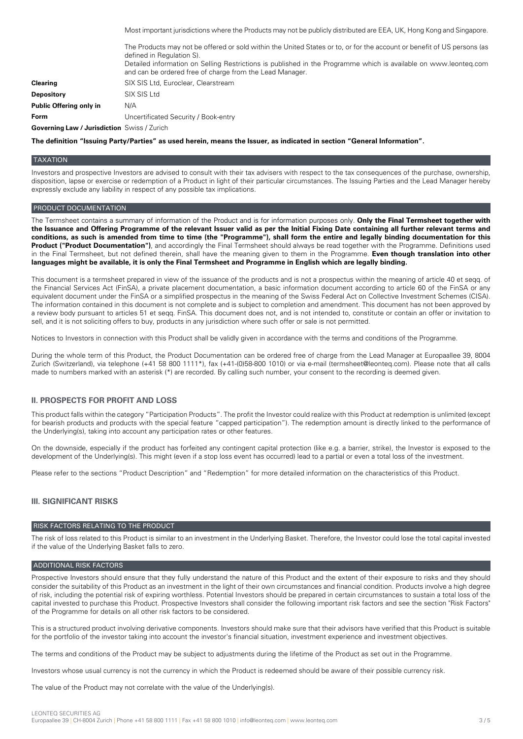Most important jurisdictions where the Products may not be publicly distributed are EEA, UK, Hong Kong and Singapore. The Products may not be offered or sold within the United States or to, or for the account or benefit of US persons (as defined in Regulation S). Detailed information on Selling Restrictions is published in the Programme which is available on www.leonteq.com and can be ordered free of charge from the Lead Manager. **Clearing** SIX SIS Ltd, Euroclear, Clearstream **Depository** SIX SIS Ltd **Public Offering only in** N/A **Form** Uncertificated Security / Book-entry **Governing Law / Jurisdiction** Swiss / Zurich

The definition "Issuing Party/Parties" as used herein, means the Issuer, as indicated in section "General Information".

#### **TAXATION**

Investors and prospective Investors are advised to consult with their tax advisers with respect to the tax consequences of the purchase, ownership, disposition, lapse or exercise or redemption of a Product in light of their particular circumstances. The Issuing Parties and the Lead Manager hereby expressly exclude any liability in respect of any possible tax implications.

#### PRODUCT DOCUMENTATION

The Termsheet contains a summary of information of the Product and is for information purposes only. **Only the Final Termsheet together with** the Issuance and Offering Programme of the relevant Issuer valid as per the Initial Fixing Date containing all further relevant terms and conditions, as such is amended from time to time (the "Programme"), shall form the entire and legally binding documentation for this **Product ("Product Documentation")**, and accordingly the Final Termsheet should always be read together with the Programme. Definitions used in the Final Termsheet, but not defined therein, shall have the meaning given to them in the Programme. **Even though translation into other** languages might be available, it is only the Final Termsheet and Programme in English which are legally binding.

This document is a termsheet prepared in view of the issuance of the products and is not a prospectus within the meaning of article 40 et seqq. of the Financial Services Act (FinSA), a private placement documentation, a basic information document according to article 60 of the FinSA or any equivalent document under the FinSA or a simplified prospectus in the meaning of the Swiss Federal Act on Collective Investment Schemes (CISA). The information contained in this document is not complete and is subject to completion and amendment. This document has not been approved by a review body pursuant to articles 51 et seqq. FinSA. This document does not, and is not intended to, constitute or contain an offer or invitation to sell, and it is not soliciting offers to buy, products in any jurisdiction where such offer or sale is not permitted.

Notices to Investors in connection with this Product shall be validly given in accordance with the terms and conditions of the Programme.

During the whole term of this Product, the Product Documentation can be ordered free of charge from the Lead Manager at Europaallee 39, 8004 Zurich (Switzerland), via telephone (+41 58 800 1111\*), fax (+41-(0)58-800 1010) or via e-mail (termsheet@leonteq.com). Please note that all calls made to numbers marked with an asterisk (\*) are recorded. By calling such number, your consent to the recording is deemed given.

## **II. PROSPECTS FOR PROFIT AND LOSS**

This product falls within the category "Participation Products". The profit the Investor could realize with this Product at redemption is unlimited (except for bearish products and products with the special feature "capped participation"). The redemption amount is directly linked to the performance of the Underlying(s), taking into account any participation rates or other features.

On the downside, especially if the product has forfeited any contingent capital protection (like e.g. a barrier, strike), the Investor is exposed to the development of the Underlying(s). This might (even if a stop loss event has occurred) lead to a partial or even a total loss of the investment.

Please refer to the sections "Product Description" and "Redemption" for more detailed information on the characteristics of this Product.

## **III. SIGNIFICANT RISKS**

#### RISK FACTORS RELATING TO THE PRODUCT

The risk of loss related to this Product is similar to an investment in the Underlying Basket. Therefore, the Investor could lose the total capital invested if the value of the Underlying Basket falls to zero.

## ADDITIONAL RISK FACTORS

Prospective Investors should ensure that they fully understand the nature of this Product and the extent of their exposure to risks and they should consider the suitability of this Product as an investment in the light of their own circumstances and financial condition. Products involve a high degree of risk, including the potential risk of expiring worthless. Potential Investors should be prepared in certain circumstances to sustain a total loss of the capital invested to purchase this Product. Prospective Investors shall consider the following important risk factors and see the section "Risk Factors" of the Programme for details on all other risk factors to be considered.

This is a structured product involving derivative components. Investors should make sure that their advisors have verified that this Product is suitable for the portfolio of the investor taking into account the investor's financial situation, investment experience and investment objectives.

The terms and conditions of the Product may be subject to adjustments during the lifetime of the Product as set out in the Programme.

Investors whose usual currency is not the currency in which the Product is redeemed should be aware of their possible currency risk.

The value of the Product may not correlate with the value of the Underlying(s).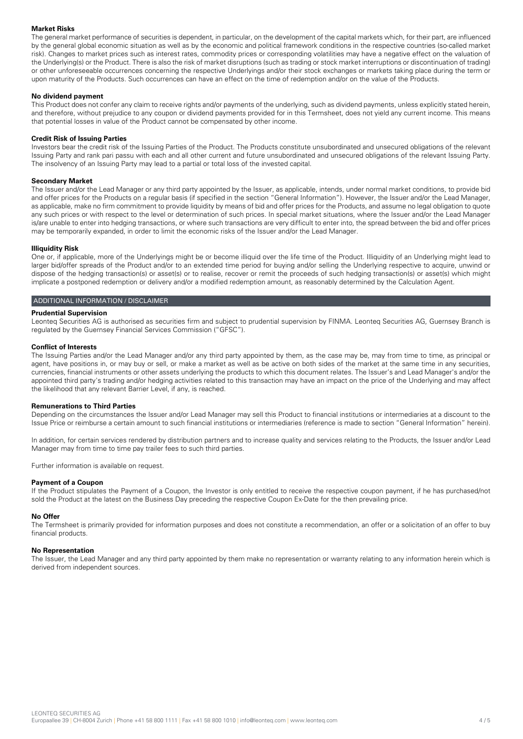### **Market Risks**

The general market performance of securities is dependent, in particular, on the development of the capital markets which, for their part, are influenced by the general global economic situation as well as by the economic and political framework conditions in the respective countries (so-called market risk). Changes to market prices such as interest rates, commodity prices or corresponding volatilities may have a negative effect on the valuation of the Underlying(s) or the Product. There is also the risk of market disruptions (such as trading or stock market interruptions or discontinuation of trading) or other unforeseeable occurrences concerning the respective Underlyings and/or their stock exchanges or markets taking place during the term or upon maturity of the Products. Such occurrences can have an effect on the time of redemption and/or on the value of the Products.

#### **No dividend payment**

This Product does not confer any claim to receive rights and/or payments of the underlying, such as dividend payments, unless explicitly stated herein, and therefore, without prejudice to any coupon or dividend payments provided for in this Termsheet, does not yield any current income. This means that potential losses in value of the Product cannot be compensated by other income.

#### **Credit Risk of Issuing Parties**

Investors bear the credit risk of the Issuing Parties of the Product. The Products constitute unsubordinated and unsecured obligations of the relevant Issuing Party and rank pari passu with each and all other current and future unsubordinated and unsecured obligations of the relevant Issuing Party. The insolvency of an Issuing Party may lead to a partial or total loss of the invested capital.

#### **Secondary Market**

The Issuer and/or the Lead Manager or any third party appointed by the Issuer, as applicable, intends, under normal market conditions, to provide bid and offer prices for the Products on a regular basis (if specified in the section "General Information"). However, the Issuer and/or the Lead Manager, as applicable, make no firm commitment to provide liquidity by means of bid and offer prices for the Products, and assume no legal obligation to quote any such prices or with respect to the level or determination of such prices. In special market situations, where the Issuer and/or the Lead Manager is/are unable to enter into hedging transactions, or where such transactions are very difficult to enter into, the spread between the bid and offer prices may be temporarily expanded, in order to limit the economic risks of the Issuer and/or the Lead Manager.

#### **Illiquidity Risk**

One or, if applicable, more of the Underlyings might be or become illiquid over the life time of the Product. Illiquidity of an Underlying might lead to larger bid/offer spreads of the Product and/or to an extended time period for buying and/or selling the Underlying respective to acquire, unwind or dispose of the hedging transaction(s) or asset(s) or to realise, recover or remit the proceeds of such hedging transaction(s) or asset(s) which might implicate a postponed redemption or delivery and/or a modified redemption amount, as reasonably determined by the Calculation Agent.

### ADDITIONAL INFORMATION / DISCLAIMER

#### **Prudential Supervision**

Leonteq Securities AG is authorised as securities firm and subject to prudential supervision by FINMA. Leonteq Securities AG, Guernsey Branch is regulated by the Guernsey Financial Services Commission ("GFSC").

#### **Conflict of Interests**

The Issuing Parties and/or the Lead Manager and/or any third party appointed by them, as the case may be, may from time to time, as principal or agent, have positions in, or may buy or sell, or make a market as well as be active on both sides of the market at the same time in any securities, currencies, financial instruments or other assets underlying the products to which this document relates. The Issuer's and Lead Manager's and/or the appointed third party's trading and/or hedging activities related to this transaction may have an impact on the price of the Underlying and may affect the likelihood that any relevant Barrier Level, if any, is reached.

#### **Remunerations to Third Parties**

Depending on the circumstances the Issuer and/or Lead Manager may sell this Product to financial institutions or intermediaries at a discount to the Issue Price or reimburse a certain amount to such financial institutions or intermediaries (reference is made to section "General Information" herein).

In addition, for certain services rendered by distribution partners and to increase quality and services relating to the Products, the Issuer and/or Lead Manager may from time to time pay trailer fees to such third parties.

Further information is available on request.

#### **Payment of a Coupon**

If the Product stipulates the Payment of a Coupon, the Investor is only entitled to receive the respective coupon payment, if he has purchased/not sold the Product at the latest on the Business Day preceding the respective Coupon Ex-Date for the then prevailing price.

#### **No Offer**

The Termsheet is primarily provided for information purposes and does not constitute a recommendation, an offer or a solicitation of an offer to buy financial products.

#### **No Representation**

The Issuer, the Lead Manager and any third party appointed by them make no representation or warranty relating to any information herein which is derived from independent sources.